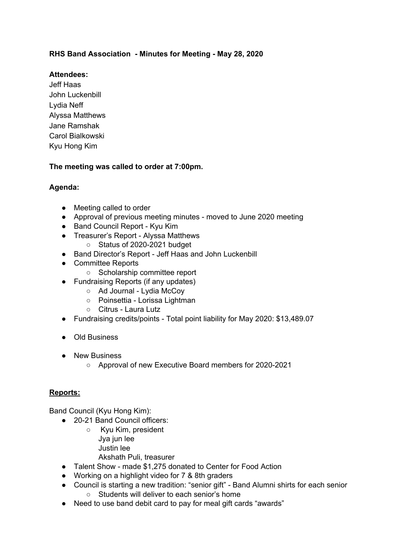# **RHS Band Association - Minutes for Meeting - May 28, 2020**

# **Attendees:**

Jeff Haas John Luckenbill Lydia Neff Alyssa Matthews Jane Ramshak Carol Bialkowski Kyu Hong Kim

### **The meeting was called to order at 7:00pm.**

# **Agenda:**

- Meeting called to order
- Approval of previous meeting minutes moved to June 2020 meeting
- Band Council Report Kyu Kim
- Treasurer's Report Alyssa Matthews
	- Status of 2020-2021 budget
- Band Director's Report Jeff Haas and John Luckenbill
- Committee Reports
	- Scholarship committee report
- Fundraising Reports (if any updates)
	- Ad Journal Lydia McCoy
		- Poinsettia Lorissa Lightman
		- Citrus Laura Lutz
- Fundraising credits/points Total point liability for May 2020: \$13,489.07
- Old Business
- New Business
	- Approval of new Executive Board members for 2020-2021

### **Reports:**

Band Council (Kyu Hong Kim):

- 20-21 Band Council officers:
	- Kyu Kim, president Jya jun lee Justin lee
		- Akshath Puli, treasurer
- Talent Show made \$1,275 donated to Center for Food Action
- Working on a highlight video for 7 & 8th graders
- Council is starting a new tradition: "senior gift" Band Alumni shirts for each senior ○ Students will deliver to each senior's home
- Need to use band debit card to pay for meal gift cards "awards"